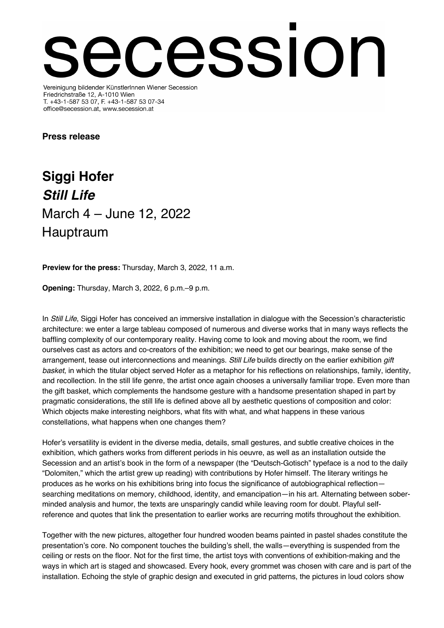## ession Vereinigung bildender KünstlerInnen Wiener Secession

Friedrichstraße 12, A-1010 Wien T. +43-1-587 53 07, F. +43-1-587 53 07-34 office@secession.at, www.secession.at

## **Press release**

**Siggi Hofer** *Still Life* March 4 – June 12, 2022 Hauptraum

**Preview for the press:** Thursday, March 3, 2022, 11 a.m.

**Opening:** Thursday, March 3, 2022, 6 p.m.–9 p.m.

In *Still Life*, Siggi Hofer has conceived an immersive installation in dialogue with the Secession's characteristic architecture: we enter a large tableau composed of numerous and diverse works that in many ways reflects the baffling complexity of our contemporary reality. Having come to look and moving about the room, we find ourselves cast as actors and co-creators of the exhibition; we need to get our bearings, make sense of the arrangement, tease out interconnections and meanings. *Still Life* builds directly on the earlier exhibition *gift basket*, in which the titular object served Hofer as a metaphor for his reflections on relationships, family, identity, and recollection. In the still life genre, the artist once again chooses a universally familiar trope. Even more than the gift basket, which complements the handsome gesture with a handsome presentation shaped in part by pragmatic considerations, the still life is defined above all by aesthetic questions of composition and color: Which objects make interesting neighbors, what fits with what, and what happens in these various constellations, what happens when one changes them?

Hofer's versatility is evident in the diverse media, details, small gestures, and subtle creative choices in the exhibition, which gathers works from different periods in his oeuvre, as well as an installation outside the Secession and an artist's book in the form of a newspaper (the "Deutsch-Gotisch" typeface is a nod to the daily "Dolomiten," which the artist grew up reading) with contributions by Hofer himself. The literary writings he produces as he works on his exhibitions bring into focus the significance of autobiographical reflection searching meditations on memory, childhood, identity, and emancipation—in his art. Alternating between soberminded analysis and humor, the texts are unsparingly candid while leaving room for doubt. Playful selfreference and quotes that link the presentation to earlier works are recurring motifs throughout the exhibition.

Together with the new pictures, altogether four hundred wooden beams painted in pastel shades constitute the presentation's core. No component touches the building's shell, the walls—everything is suspended from the ceiling or rests on the floor. Not for the first time, the artist toys with conventions of exhibition-making and the ways in which art is staged and showcased. Every hook, every grommet was chosen with care and is part of the installation. Echoing the style of graphic design and executed in grid patterns, the pictures in loud colors show